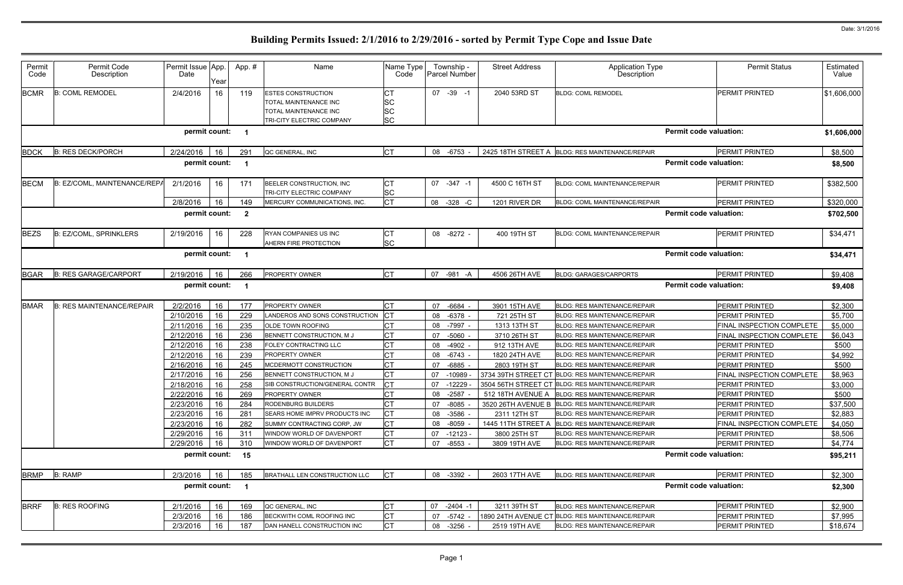| Permit<br>Code | Permit Code<br>Description       | Permit Issue App.<br>Date | Year     | App.#                   | Name                                                                                                     | Name Type<br>Code                         | Township -<br>Parcel Number | <b>Street Address</b> | <b>Application Type</b><br>Description                                                  | <b>Permit Status</b>                    | Estimated<br>Value |
|----------------|----------------------------------|---------------------------|----------|-------------------------|----------------------------------------------------------------------------------------------------------|-------------------------------------------|-----------------------------|-----------------------|-----------------------------------------------------------------------------------------|-----------------------------------------|--------------------|
| <b>BCMR</b>    | <b>B: COML REMODEL</b>           | 2/4/2016                  | 16       | 119                     | <b>ESTES CONSTRUCTION</b><br>TOTAL MAINTENANCE INC<br>TOTAL MAINTENANCE INC<br>TRI-CITY ELECTRIC COMPANY | CТ<br><b>SC</b><br><b>SC</b><br><b>SC</b> | 07 -39 -1                   | 2040 53RD ST          | <b>BLDG: COML REMODEL</b>                                                               | <b>PERMIT PRINTED</b>                   | \$1,606,000        |
|                |                                  | permit count:             |          |                         |                                                                                                          |                                           |                             |                       |                                                                                         | <b>Permit code valuation:</b>           | \$1,606,000        |
| <b>BDCK</b>    | <b>B: RES DECK/PORCH</b>         | 2/24/2016                 | 16       | 291                     | QC GENERAL, INC                                                                                          | <b>CT</b>                                 | 08 -6753                    |                       | 2425 18TH STREET A BLDG: RES MAINTENANCE/REPAIR                                         | <b>PERMIT PRINTED</b>                   | \$8,500            |
|                |                                  | permit count:             |          |                         |                                                                                                          |                                           |                             |                       |                                                                                         | <b>Permit code valuation:</b>           | \$8,500            |
| <b>BECM</b>    | B: EZ/COML, MAINTENANCE/REPA     | 2/1/2016                  | 16       | 171                     | BEELER CONSTRUCTION, INC<br>TRI-CITY ELECTRIC COMPANY                                                    | СT<br><b>SC</b>                           | 07 -347 -1                  | 4500 C 16TH ST        | <b>BLDG: COML MAINTENANCE/REPAIR</b>                                                    | <b>PERMIT PRINTED</b>                   | \$382,500          |
|                |                                  | 2/8/2016                  | 16       | 149                     | MERCURY COMMUNICATIONS, INC.                                                                             | <b>CT</b>                                 | $-328 - C$<br>08            | 1201 RIVER DR         | <b>BLDG: COML MAINTENANCE/REPAIR</b>                                                    | <b>PERMIT PRINTED</b>                   | \$320,000          |
|                |                                  | permit count:             |          | $\overline{\mathbf{2}}$ |                                                                                                          |                                           |                             |                       |                                                                                         | <b>Permit code valuation:</b>           | \$702,500          |
| <b>BEZS</b>    | <b>B: EZ/COML, SPRINKLERS</b>    | 2/19/2016                 | 16       | 228                     | RYAN COMPANIES US INC<br>AHERN FIRE PROTECTION                                                           | <b>CT</b><br><b>SC</b>                    | 08 -8272 -                  | 400 19TH ST           | <b>BLDG: COML MAINTENANCE/REPAIR</b>                                                    | <b>PERMIT PRINTED</b>                   | \$34,471           |
|                |                                  | permit count:             |          | $\blacksquare$          |                                                                                                          |                                           |                             |                       |                                                                                         | <b>Permit code valuation:</b>           | \$34,471           |
| <b>BGAR</b>    | <b>B: RES GARAGE/CARPORT</b>     | 2/19/2016                 | 16       | 266                     | PROPERTY OWNER                                                                                           | <b>CT</b>                                 | 07<br>-981 -A               | 4506 26TH AVE         | <b>BLDG: GARAGES/CARPORTS</b>                                                           | <b>PERMIT PRINTED</b>                   | \$9,408            |
|                |                                  | permit count:             |          |                         |                                                                                                          |                                           |                             |                       |                                                                                         | <b>Permit code valuation:</b>           | \$9,408            |
| <b>BMAR</b>    | <b>B: RES MAINTENANCE/REPAIR</b> | 2/2/2016                  | 16       | 177                     | <b>PROPERTY OWNER</b>                                                                                    | Iст                                       | 07<br>-6684                 | 3901 15TH AVE         | <b>BLDG: RES MAINTENANCE/REPAIR</b>                                                     | PERMIT PRINTED                          | \$2,300            |
|                |                                  | 2/10/2016                 | 16       | 229                     | LANDEROS AND SONS CONSTRUCTION                                                                           |                                           | -6378<br>08                 | 721 25TH ST           | <b>BLDG: RES MAINTENANCE/REPAIR</b>                                                     | <b>PERMIT PRINTED</b>                   | \$5,700            |
|                |                                  | 2/11/2016                 | 16       | 235                     | OLDE TOWN ROOFING                                                                                        | C <sub>T</sub>                            | -7997 -<br>08               | 1313 13TH ST          | <b>BLDG: RES MAINTENANCE/REPAIR</b>                                                     | FINAL INSPECTION COMPLETE               | \$5,000            |
|                |                                  | 2/12/2016                 | 16       | 236                     | BENNETT CONSTRUCTION, M J                                                                                | <b>CT</b>                                 | $-5060$<br>07               | 3710 26TH ST          | <b>BLDG: RES MAINTENANCE/REPAIR</b>                                                     | FINAL INSPECTION COMPLETE               | \$6,043            |
|                |                                  | 2/12/2016                 | 16       | 238                     | FOLEY CONTRACTING LLC                                                                                    | <b>CT</b>                                 | $-4902$<br>08               | 912 13TH AVE          | <b>BLDG: RES MAINTENANCE/REPAIR</b>                                                     | <b>PERMIT PRINTED</b>                   | \$500              |
|                |                                  | 2/12/2016                 | 16       | 239                     | <b>PROPERTY OWNER</b>                                                                                    | СT                                        | 08 -6743 -                  | 1820 24TH AVE         | <b>BLDG: RES MAINTENANCE/REPAIR</b>                                                     | <b>PERMIT PRINTED</b>                   | \$4,992            |
|                |                                  | 2/16/2016                 | 16       | 245                     | MCDERMOTT CONSTRUCTION                                                                                   | <b>CT</b>                                 | $-6885$<br>07               | 2803 19TH ST          | <b>BLDG: RES MAINTENANCE/REPAIR</b>                                                     | <b>PERMIT PRINTED</b>                   | \$500              |
|                |                                  | 2/17/2016                 | 16       | 256                     | BENNETT CONSTRUCTION, M J                                                                                |                                           | 07<br>$-10989$              | 3734 39TH STREET CT   | <b>BLDG: RES MAINTENANCE/REPAIR</b>                                                     | FINAL INSPECTION COMPLETE               | \$8,963            |
|                |                                  | 2/18/2016                 | 16       | 258                     | SIB CONSTRUCTION/GENERAL CONTR                                                                           | <b>CT</b>                                 | 07<br>$-12229$              |                       | 3504 56TH STREET CT BLDG: RES MAINTENANCE/REPAIR<br><b>BLDG: RES MAINTENANCE/REPAIR</b> | <b>PERMIT PRINTED</b>                   | \$3,000            |
|                |                                  | 2/22/2016<br>2/23/2016    | 16<br>16 | 269<br>284              | PROPERTY OWNER<br>RODENBURG BUILDERS                                                                     | <b>CT</b>                                 | 08 -2587<br>07 -8085        | 512 18TH AVENUE A     | 3520 26TH AVENUE B BLDG: RES MAINTENANCE/REPAIR                                         | <b>PERMIT PRINTED</b><br>PERMIT PRINTED | \$500<br>\$37,500  |
|                |                                  | 2/23/2016                 | 16       | 281                     | <b>SEARS HOME IMPRV PRODUCTS INC</b>                                                                     | C <sub>T</sub>                            | 08<br>-3586                 | 2311 12TH ST          | <b>BLDG: RES MAINTENANCE/REPAIR</b>                                                     | PERMIT PRINTED                          | \$2,883            |
|                |                                  | 2/23/2016                 | 16       | 282                     | SUMMY CONTRACTING CORP, JW                                                                               | <b>CT</b>                                 | -8059<br>08                 | 1445 11TH STREET A    | BLDG: RES MAINTENANCE/REPAIR                                                            | FINAL INSPECTION COMPLETE               | \$4,050            |
|                |                                  | 2/29/2016                 | 16       | 311                     | WINDOW WORLD OF DAVENPORT                                                                                | C <sub>T</sub>                            | $-12123 -$<br>07            | 3800 25TH ST          | <b>BLDG: RES MAINTENANCE/REPAIR</b>                                                     | PERMIT PRINTED                          | \$8,506            |
|                |                                  | 2/29/2016                 | 16       | 310                     | WINDOW WORLD OF DAVENPORT                                                                                | <b>CT</b>                                 | 07<br>-8553 -               | 3809 19TH AVE         | <b>BLDG: RES MAINTENANCE/REPAIR</b>                                                     | <b>PERMIT PRINTED</b>                   | \$4,774            |
|                |                                  | permit count: 15          |          |                         |                                                                                                          |                                           |                             |                       |                                                                                         | <b>Permit code valuation:</b>           | \$95,211           |
| <b>BRMP</b>    | <b>B: RAMP</b>                   | 2/3/2016                  | 16       | 185                     | BRATHALL LEN CONSTRUCTION LLC                                                                            | <b>CT</b>                                 | 08 -3392 -                  | 2603 17TH AVE         | <b>BLDG: RES MAINTENANCE/REPAIR</b>                                                     | PERMIT PRINTED                          | \$2,300            |
|                |                                  | permit count: 1           |          |                         |                                                                                                          |                                           |                             |                       |                                                                                         | <b>Permit code valuation:</b>           | \$2,300            |
| <b>BRRF</b>    | <b>B: RES ROOFING</b>            | 2/1/2016                  | 16       | 169                     | QC GENERAL, INC                                                                                          | <b>CT</b>                                 | 07<br>$-2404 -1$            | 3211 39TH ST          | BLDG: RES MAINTENANCE/REPAIR                                                            | PERMIT PRINTED                          | \$2,900            |
|                |                                  | 2/3/2016                  | 16       | 186                     | BECKWITH COML ROOFING INC                                                                                | Iст                                       | 07<br>-5742 -               |                       | 1890 24TH AVENUE CT BLDG: RES MAINTENANCE/REPAIR                                        | PERMIT PRINTED                          | \$7,995            |
|                |                                  | 2/3/2016                  | 16       | 187                     | DAN HANELL CONSTRUCTION INC                                                                              | СT                                        | 08<br>$-3256 -$             | 2519 19TH AVE         | <b>BLDG: RES MAINTENANCE/REPAIR</b>                                                     | PERMIT PRINTED                          | \$18,674           |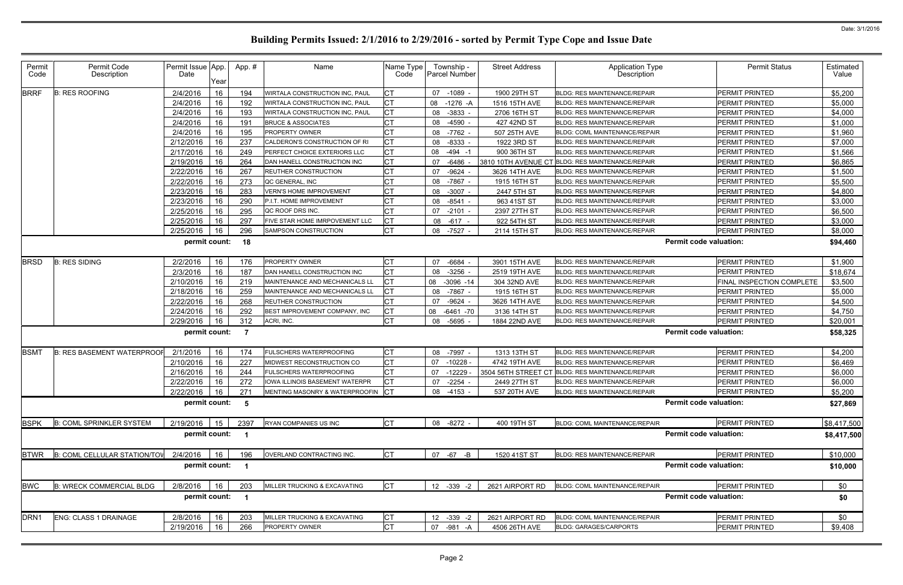| <b>BRRF</b><br>СT<br>PERMIT PRINTED<br>\$5,200<br><b>B: RES ROOFING</b><br>2/4/2016<br>16<br>194<br>07 -1089 -<br>1900 29TH ST<br>WIRTALA CONSTRUCTION INC, PAUL<br>BLDG: RES MAINTENANCE/REPAIR<br>СT<br>2/4/2016<br>16<br>192<br>WIRTALA CONSTRUCTION INC, PAUL<br>08 -1276 -A<br>1516 15TH AVE<br><b>BLDG: RES MAINTENANCE/REPAIR</b><br><b>PERMIT PRINTED</b><br>\$5,000<br><b>CT</b><br>2/4/2016<br>16<br>193<br>08 -3833 -<br>\$4,000<br>WIRTALA CONSTRUCTION INC, PAUL<br>2706 16TH ST<br><b>BLDG: RES MAINTENANCE/REPAIR</b><br><b>PERMIT PRINTED</b><br>СT<br>2/4/2016<br>16<br>08 -4590<br>\$1,000<br>191<br><b>BRUCE &amp; ASSOCIATES</b><br>427 42ND ST<br>PERMIT PRINTED<br>BLDG: RES MAINTENANCE/REPAIR<br>СT<br>16<br>195<br>2/4/2016<br>\$1,960<br><b>PROPERTY OWNER</b><br>-7762 -<br>507 25TH AVE<br><b>PERMIT PRINTED</b><br>08<br><b>BLDG: COML MAINTENANCE/REPAIR</b><br>СT<br>2/12/2016<br>16<br>237<br>08 -8333<br>\$7,000<br>CALDERON'S CONSTRUCTION OF RI<br>1922 3RD ST<br>PERMIT PRINTED<br><b>BLDG: RES MAINTENANCE/REPAIR</b><br><b>CT</b><br>2/17/2016<br>16<br>249<br>08 -494 -1<br>900 36TH ST<br><b>PERMIT PRINTED</b><br>\$1,566<br>PERFECT CHOICE EXTERIORS LLC<br><b>BLDG: RES MAINTENANCE/REPAIR</b><br><b>CT</b><br>2/19/2016<br>16<br>264<br>PERMIT PRINTED<br>\$6,865<br>07<br>-6486<br>3810 10TH AVENUE CT BLDG: RES MAINTENANCE/REPAIR<br>DAN HANELL CONSTRUCTION INC<br>СT<br>2/22/2016<br>16<br>267<br>\$1,500<br>-9624 -<br>3626 14TH AVE<br>PERMIT PRINTED<br><b>REUTHER CONSTRUCTION</b><br>07<br><b>BLDG: RES MAINTENANCE/REPAIR</b><br>16<br>273<br>СT<br>08 -7867 -<br>2/22/2016<br>1915 16TH ST<br><b>PERMIT PRINTED</b><br>\$5,500<br>QC GENERAL, INC<br><b>BLDG: RES MAINTENANCE/REPAIR</b><br>СT<br>2/23/2016<br>16<br>283<br><b>VERN'S HOME IMPROVEMENT</b><br>08 -3007 -<br>2447 5TH ST<br><b>BLDG: RES MAINTENANCE/REPAIR</b><br>PERMIT PRINTED<br>\$4,800<br>СT<br>2/23/2016<br>16<br>290<br>$-8541$<br>PERMIT PRINTED<br>\$3,000<br>P.I.T. HOME IMPROVEMENT<br>08<br>963 41ST ST<br><b>BLDG: RES MAINTENANCE/REPAIR</b><br>СT<br>16<br>QC ROOF DRS INC.<br>\$6,500<br>2/25/2016<br>295<br>07<br>$-2101$<br>2397 27TH ST<br><b>BLDG: RES MAINTENANCE/REPAIR</b><br>PERMIT PRINTED<br>СT<br>2/25/2016<br>16<br>297<br>08 -617 -<br>922 54TH ST<br><b>PERMIT PRINTED</b><br>\$3,000<br>FIVE STAR HOME IMRPOVEMENT LLC<br>BLDG: RES MAINTENANCE/REPAIR<br><b>CT</b><br>16<br>296<br>2/25/2016<br>SAMPSON CONSTRUCTION<br>08 -7527 -<br>2114 15TH ST<br><b>BLDG: RES MAINTENANCE/REPAIR</b><br><b>PERMIT PRINTED</b><br>\$8,000<br><b>Permit code valuation:</b><br>permit count:<br>\$94,460<br>18<br>16<br>СT<br><b>B: RES SIDING</b><br>2/2/2016<br>176<br><b>PROPERTY OWNER</b><br>07 -6684 -<br>3901 15TH AVE<br><b>PERMIT PRINTED</b><br>\$1,900<br><b>BRSD</b><br><b>BLDG: RES MAINTENANCE/REPAIR</b><br>СT<br>2/3/2016<br>16<br>187<br>$-3256$<br>PERMIT PRINTED<br>\$18,674<br>DAN HANELL CONSTRUCTION INC<br>08<br>2519 19TH AVE<br><b>BLDG: RES MAINTENANCE/REPAIR</b><br>СT<br>16<br>08<br>FINAL INSPECTION COMPLETE<br>\$3,500<br>2/10/2016<br>219<br>MAINTENANCE AND MECHANICALS LI<br>$-3096 - 14$<br>304 32ND AVE<br><b>BLDG: RES MAINTENANCE/REPAIR</b><br>СT<br>2/18/2016<br>16<br>259<br>-7867 -<br>MAINTENANCE AND MECHANICALS LI<br>08<br>1915 16TH ST<br><b>BLDG: RES MAINTENANCE/REPAIR</b><br><b>PERMIT PRINTED</b><br>\$5,000<br>IСТ<br>16<br>2/22/2016<br>268<br>$-9624$ -<br>PERMIT PRINTED<br>\$4,500<br>07<br>3626 14TH AVE<br>REUTHER CONSTRUCTION<br><b>BLDG: RES MAINTENANCE/REPAIR</b><br>2/24/2016<br>292<br>СT<br><b>BLDG: RES MAINTENANCE/REPAIR</b><br>16<br>BEST IMPROVEMENT COMPANY, INC<br>08<br>$-6461 - 70$<br>3136 14TH ST<br><b>PERMIT PRINTED</b><br>\$4,750<br><b>CT</b><br>2/29/2016<br>312<br>16<br>08<br>-5695 -<br>1884 22ND AVE<br><b>PERMIT PRINTED</b><br>\$20,001<br>ACRI, INC.<br>BLDG: RES MAINTENANCE/REPAIR<br><b>Permit code valuation:</b><br>permit count:<br>- 7<br>\$58,325<br><b>CT</b><br><b>FULSCHERS WATERPROOFING</b><br><b>BLDG: RES MAINTENANCE/REPAIR</b><br><b>B: RES BASEMENT WATERPROO</b><br>16<br>08 -7997 -<br>1313 13TH ST<br><b>PERMIT PRINTED</b><br>\$4,200<br><b>BSMT</b><br>2/1/2016<br>174<br><b>CT</b><br>16<br>227<br>2/10/2016<br>$-10228$<br>PERMIT PRINTED<br>\$6,469<br>07<br>4742 19TH AVE<br>MIDWEST RECONSTRUCTION CO<br><b>BLDG: RES MAINTENANCE/REPAIR</b><br>СT<br>16<br>244<br>$-12229$<br>PERMIT PRINTED<br>\$6,000<br>2/16/2016<br><b>FULSCHERS WATERPROOFING</b><br>3504 56TH STREET CT<br><b>BLDG: RES MAINTENANCE/REPAIR</b><br>07<br>272<br>07 -2254<br>2/22/2016<br>16<br>2449 27TH ST<br><b>PERMIT PRINTED</b><br>\$6,000<br>IOWA ILLINOIS BASEMENT WATERPR<br><b>BLDG: RES MAINTENANCE/REPAIR</b><br>MENTING MASONRY & WATERPROOFIN CT<br>2/22/2016 16<br>08 -4153 -<br>BLDG: RES MAINTENANCE/REPAIR<br><b>PERMIT PRINTED</b><br>\$5,200<br>271<br>537 20TH AVE<br><b>Permit code valuation:</b><br>permit count: 5<br>\$27,869<br><b>CT</b><br><b>B: COML SPRINKLER SYSTEM</b><br>2/19/2016<br>2397<br>08 -8272 -<br>400 19TH ST<br>PERMIT PRINTED<br><b>BSPK</b><br>15<br>RYAN COMPANIES US INC<br><b>BLDG: COML MAINTENANCE/REPAIR</b><br>\$8,417,500<br><b>Permit code valuation:</b><br>permit count: 1<br><b>CT</b><br><b>BTWR</b><br>07 -67 -B<br>B: COML CELLULAR STATION/TOV<br>2/4/2016<br>16<br>196<br>OVERLAND CONTRACTING INC.<br>BLDG: RES MAINTENANCE/REPAIR<br>\$10,000<br>1520 41ST ST<br>PERMIT PRINTED<br><b>Permit code valuation:</b><br>permit count: 1<br>\$10,000<br><b>CT</b><br><b>BWC</b><br><b>B: WRECK COMMERCIAL BLDG</b><br>2/8/2016<br>12 -339 -2<br>2621 AIRPORT RD<br>PERMIT PRINTED<br>16<br>203<br>MILLER TRUCKING & EXCAVATING<br>\$0<br>BLDG: COML MAINTENANCE/REPAIR<br>permit count: 1<br><b>Permit code valuation:</b><br>\$0<br><b>CT</b><br><b>ENG: CLASS 1 DRAINAGE</b><br>16<br>12 -339 -2<br>2621 AIRPORT RD<br>PERMIT PRINTED<br>\$0<br>2/8/2016<br>203<br>MILLER TRUCKING & EXCAVATING<br>BLDG: COML MAINTENANCE/REPAIR<br><b>CT</b><br>16<br>266<br>PROPERTY OWNER<br>PERMIT PRINTED<br>2/19/2016<br>07 -981 -A<br><b>BLDG: GARAGES/CARPORTS</b><br>4506 26TH AVE | Permit<br>Code   | Permit Code<br>Description | Permit Issue App.<br>Date | Year | App.# | Name | Name Type<br>Code | Township -<br><b>Parcel Number</b> | <b>Street Address</b> | <b>Application Type</b><br>Description | <b>Permit Status</b> | Estimated<br>Value |
|------------------------------------------------------------------------------------------------------------------------------------------------------------------------------------------------------------------------------------------------------------------------------------------------------------------------------------------------------------------------------------------------------------------------------------------------------------------------------------------------------------------------------------------------------------------------------------------------------------------------------------------------------------------------------------------------------------------------------------------------------------------------------------------------------------------------------------------------------------------------------------------------------------------------------------------------------------------------------------------------------------------------------------------------------------------------------------------------------------------------------------------------------------------------------------------------------------------------------------------------------------------------------------------------------------------------------------------------------------------------------------------------------------------------------------------------------------------------------------------------------------------------------------------------------------------------------------------------------------------------------------------------------------------------------------------------------------------------------------------------------------------------------------------------------------------------------------------------------------------------------------------------------------------------------------------------------------------------------------------------------------------------------------------------------------------------------------------------------------------------------------------------------------------------------------------------------------------------------------------------------------------------------------------------------------------------------------------------------------------------------------------------------------------------------------------------------------------------------------------------------------------------------------------------------------------------------------------------------------------------------------------------------------------------------------------------------------------------------------------------------------------------------------------------------------------------------------------------------------------------------------------------------------------------------------------------------------------------------------------------------------------------------------------------------------------------------------------------------------------------------------------------------------------------------------------------------------------------------------------------------------------------------------------------------------------------------------------------------------------------------------------------------------------------------------------------------------------------------------------------------------------------------------------------------------------------------------------------------------------------------------------------------------------------------------------------------------------------------------------------------------------------------------------------------------------------------------------------------------------------------------------------------------------------------------------------------------------------------------------------------------------------------------------------------------------------------------------------------------------------------------------------------------------------------------------------------------------------------------------------------------------------------------------------------------------------------------------------------------------------------------------------------------------------------------------------------------------------------------------------------------------------------------------------------------------------------------------------------------------------------------------------------------------------------------------------------------------------------------------------------------------------------------------------------------------------------------------------------------------------------------------------------------------------------------------------------------------------------------------------------------------------------------------------------------------------------------------------------------------------------------------------------------------------------------------------------------------------------------------------------------------------------------------------------------------------------------------------------------------------------------------------------------------------------------------------------------------------------------------------------------------------------------------------------------------------------------------------------------------------------------------------------------------------------------------------------------------------------------------------------------------------------------------------------------------------------------------------------------------------------------------------------------------------------------------------------------------------------------------------------------------------------------------------------------------------------------------------------------------------------------------------------------------------------------|------------------|----------------------------|---------------------------|------|-------|------|-------------------|------------------------------------|-----------------------|----------------------------------------|----------------------|--------------------|
|                                                                                                                                                                                                                                                                                                                                                                                                                                                                                                                                                                                                                                                                                                                                                                                                                                                                                                                                                                                                                                                                                                                                                                                                                                                                                                                                                                                                                                                                                                                                                                                                                                                                                                                                                                                                                                                                                                                                                                                                                                                                                                                                                                                                                                                                                                                                                                                                                                                                                                                                                                                                                                                                                                                                                                                                                                                                                                                                                                                                                                                                                                                                                                                                                                                                                                                                                                                                                                                                                                                                                                                                                                                                                                                                                                                                                                                                                                                                                                                                                                                                                                                                                                                                                                                                                                                                                                                                                                                                                                                                                                                                                                                                                                                                                                                                                                                                                                                                                                                                                                                                                                                                                                                                                                                                                                                                                                                                                                                                                                                                                                                                                                                                                                                                                                                                                                                                                                                                                                                                                                                                                                                                                                                    |                  |                            |                           |      |       |      |                   |                                    |                       |                                        |                      |                    |
|                                                                                                                                                                                                                                                                                                                                                                                                                                                                                                                                                                                                                                                                                                                                                                                                                                                                                                                                                                                                                                                                                                                                                                                                                                                                                                                                                                                                                                                                                                                                                                                                                                                                                                                                                                                                                                                                                                                                                                                                                                                                                                                                                                                                                                                                                                                                                                                                                                                                                                                                                                                                                                                                                                                                                                                                                                                                                                                                                                                                                                                                                                                                                                                                                                                                                                                                                                                                                                                                                                                                                                                                                                                                                                                                                                                                                                                                                                                                                                                                                                                                                                                                                                                                                                                                                                                                                                                                                                                                                                                                                                                                                                                                                                                                                                                                                                                                                                                                                                                                                                                                                                                                                                                                                                                                                                                                                                                                                                                                                                                                                                                                                                                                                                                                                                                                                                                                                                                                                                                                                                                                                                                                                                                    |                  |                            |                           |      |       |      |                   |                                    |                       |                                        |                      |                    |
|                                                                                                                                                                                                                                                                                                                                                                                                                                                                                                                                                                                                                                                                                                                                                                                                                                                                                                                                                                                                                                                                                                                                                                                                                                                                                                                                                                                                                                                                                                                                                                                                                                                                                                                                                                                                                                                                                                                                                                                                                                                                                                                                                                                                                                                                                                                                                                                                                                                                                                                                                                                                                                                                                                                                                                                                                                                                                                                                                                                                                                                                                                                                                                                                                                                                                                                                                                                                                                                                                                                                                                                                                                                                                                                                                                                                                                                                                                                                                                                                                                                                                                                                                                                                                                                                                                                                                                                                                                                                                                                                                                                                                                                                                                                                                                                                                                                                                                                                                                                                                                                                                                                                                                                                                                                                                                                                                                                                                                                                                                                                                                                                                                                                                                                                                                                                                                                                                                                                                                                                                                                                                                                                                                                    |                  |                            |                           |      |       |      |                   |                                    |                       |                                        |                      |                    |
|                                                                                                                                                                                                                                                                                                                                                                                                                                                                                                                                                                                                                                                                                                                                                                                                                                                                                                                                                                                                                                                                                                                                                                                                                                                                                                                                                                                                                                                                                                                                                                                                                                                                                                                                                                                                                                                                                                                                                                                                                                                                                                                                                                                                                                                                                                                                                                                                                                                                                                                                                                                                                                                                                                                                                                                                                                                                                                                                                                                                                                                                                                                                                                                                                                                                                                                                                                                                                                                                                                                                                                                                                                                                                                                                                                                                                                                                                                                                                                                                                                                                                                                                                                                                                                                                                                                                                                                                                                                                                                                                                                                                                                                                                                                                                                                                                                                                                                                                                                                                                                                                                                                                                                                                                                                                                                                                                                                                                                                                                                                                                                                                                                                                                                                                                                                                                                                                                                                                                                                                                                                                                                                                                                                    |                  |                            |                           |      |       |      |                   |                                    |                       |                                        |                      |                    |
|                                                                                                                                                                                                                                                                                                                                                                                                                                                                                                                                                                                                                                                                                                                                                                                                                                                                                                                                                                                                                                                                                                                                                                                                                                                                                                                                                                                                                                                                                                                                                                                                                                                                                                                                                                                                                                                                                                                                                                                                                                                                                                                                                                                                                                                                                                                                                                                                                                                                                                                                                                                                                                                                                                                                                                                                                                                                                                                                                                                                                                                                                                                                                                                                                                                                                                                                                                                                                                                                                                                                                                                                                                                                                                                                                                                                                                                                                                                                                                                                                                                                                                                                                                                                                                                                                                                                                                                                                                                                                                                                                                                                                                                                                                                                                                                                                                                                                                                                                                                                                                                                                                                                                                                                                                                                                                                                                                                                                                                                                                                                                                                                                                                                                                                                                                                                                                                                                                                                                                                                                                                                                                                                                                                    |                  |                            |                           |      |       |      |                   |                                    |                       |                                        |                      |                    |
|                                                                                                                                                                                                                                                                                                                                                                                                                                                                                                                                                                                                                                                                                                                                                                                                                                                                                                                                                                                                                                                                                                                                                                                                                                                                                                                                                                                                                                                                                                                                                                                                                                                                                                                                                                                                                                                                                                                                                                                                                                                                                                                                                                                                                                                                                                                                                                                                                                                                                                                                                                                                                                                                                                                                                                                                                                                                                                                                                                                                                                                                                                                                                                                                                                                                                                                                                                                                                                                                                                                                                                                                                                                                                                                                                                                                                                                                                                                                                                                                                                                                                                                                                                                                                                                                                                                                                                                                                                                                                                                                                                                                                                                                                                                                                                                                                                                                                                                                                                                                                                                                                                                                                                                                                                                                                                                                                                                                                                                                                                                                                                                                                                                                                                                                                                                                                                                                                                                                                                                                                                                                                                                                                                                    |                  |                            |                           |      |       |      |                   |                                    |                       |                                        |                      |                    |
|                                                                                                                                                                                                                                                                                                                                                                                                                                                                                                                                                                                                                                                                                                                                                                                                                                                                                                                                                                                                                                                                                                                                                                                                                                                                                                                                                                                                                                                                                                                                                                                                                                                                                                                                                                                                                                                                                                                                                                                                                                                                                                                                                                                                                                                                                                                                                                                                                                                                                                                                                                                                                                                                                                                                                                                                                                                                                                                                                                                                                                                                                                                                                                                                                                                                                                                                                                                                                                                                                                                                                                                                                                                                                                                                                                                                                                                                                                                                                                                                                                                                                                                                                                                                                                                                                                                                                                                                                                                                                                                                                                                                                                                                                                                                                                                                                                                                                                                                                                                                                                                                                                                                                                                                                                                                                                                                                                                                                                                                                                                                                                                                                                                                                                                                                                                                                                                                                                                                                                                                                                                                                                                                                                                    |                  |                            |                           |      |       |      |                   |                                    |                       |                                        |                      |                    |
|                                                                                                                                                                                                                                                                                                                                                                                                                                                                                                                                                                                                                                                                                                                                                                                                                                                                                                                                                                                                                                                                                                                                                                                                                                                                                                                                                                                                                                                                                                                                                                                                                                                                                                                                                                                                                                                                                                                                                                                                                                                                                                                                                                                                                                                                                                                                                                                                                                                                                                                                                                                                                                                                                                                                                                                                                                                                                                                                                                                                                                                                                                                                                                                                                                                                                                                                                                                                                                                                                                                                                                                                                                                                                                                                                                                                                                                                                                                                                                                                                                                                                                                                                                                                                                                                                                                                                                                                                                                                                                                                                                                                                                                                                                                                                                                                                                                                                                                                                                                                                                                                                                                                                                                                                                                                                                                                                                                                                                                                                                                                                                                                                                                                                                                                                                                                                                                                                                                                                                                                                                                                                                                                                                                    |                  |                            |                           |      |       |      |                   |                                    |                       |                                        |                      |                    |
|                                                                                                                                                                                                                                                                                                                                                                                                                                                                                                                                                                                                                                                                                                                                                                                                                                                                                                                                                                                                                                                                                                                                                                                                                                                                                                                                                                                                                                                                                                                                                                                                                                                                                                                                                                                                                                                                                                                                                                                                                                                                                                                                                                                                                                                                                                                                                                                                                                                                                                                                                                                                                                                                                                                                                                                                                                                                                                                                                                                                                                                                                                                                                                                                                                                                                                                                                                                                                                                                                                                                                                                                                                                                                                                                                                                                                                                                                                                                                                                                                                                                                                                                                                                                                                                                                                                                                                                                                                                                                                                                                                                                                                                                                                                                                                                                                                                                                                                                                                                                                                                                                                                                                                                                                                                                                                                                                                                                                                                                                                                                                                                                                                                                                                                                                                                                                                                                                                                                                                                                                                                                                                                                                                                    |                  |                            |                           |      |       |      |                   |                                    |                       |                                        |                      |                    |
|                                                                                                                                                                                                                                                                                                                                                                                                                                                                                                                                                                                                                                                                                                                                                                                                                                                                                                                                                                                                                                                                                                                                                                                                                                                                                                                                                                                                                                                                                                                                                                                                                                                                                                                                                                                                                                                                                                                                                                                                                                                                                                                                                                                                                                                                                                                                                                                                                                                                                                                                                                                                                                                                                                                                                                                                                                                                                                                                                                                                                                                                                                                                                                                                                                                                                                                                                                                                                                                                                                                                                                                                                                                                                                                                                                                                                                                                                                                                                                                                                                                                                                                                                                                                                                                                                                                                                                                                                                                                                                                                                                                                                                                                                                                                                                                                                                                                                                                                                                                                                                                                                                                                                                                                                                                                                                                                                                                                                                                                                                                                                                                                                                                                                                                                                                                                                                                                                                                                                                                                                                                                                                                                                                                    |                  |                            |                           |      |       |      |                   |                                    |                       |                                        |                      |                    |
|                                                                                                                                                                                                                                                                                                                                                                                                                                                                                                                                                                                                                                                                                                                                                                                                                                                                                                                                                                                                                                                                                                                                                                                                                                                                                                                                                                                                                                                                                                                                                                                                                                                                                                                                                                                                                                                                                                                                                                                                                                                                                                                                                                                                                                                                                                                                                                                                                                                                                                                                                                                                                                                                                                                                                                                                                                                                                                                                                                                                                                                                                                                                                                                                                                                                                                                                                                                                                                                                                                                                                                                                                                                                                                                                                                                                                                                                                                                                                                                                                                                                                                                                                                                                                                                                                                                                                                                                                                                                                                                                                                                                                                                                                                                                                                                                                                                                                                                                                                                                                                                                                                                                                                                                                                                                                                                                                                                                                                                                                                                                                                                                                                                                                                                                                                                                                                                                                                                                                                                                                                                                                                                                                                                    |                  |                            |                           |      |       |      |                   |                                    |                       |                                        |                      |                    |
|                                                                                                                                                                                                                                                                                                                                                                                                                                                                                                                                                                                                                                                                                                                                                                                                                                                                                                                                                                                                                                                                                                                                                                                                                                                                                                                                                                                                                                                                                                                                                                                                                                                                                                                                                                                                                                                                                                                                                                                                                                                                                                                                                                                                                                                                                                                                                                                                                                                                                                                                                                                                                                                                                                                                                                                                                                                                                                                                                                                                                                                                                                                                                                                                                                                                                                                                                                                                                                                                                                                                                                                                                                                                                                                                                                                                                                                                                                                                                                                                                                                                                                                                                                                                                                                                                                                                                                                                                                                                                                                                                                                                                                                                                                                                                                                                                                                                                                                                                                                                                                                                                                                                                                                                                                                                                                                                                                                                                                                                                                                                                                                                                                                                                                                                                                                                                                                                                                                                                                                                                                                                                                                                                                                    |                  |                            |                           |      |       |      |                   |                                    |                       |                                        |                      |                    |
|                                                                                                                                                                                                                                                                                                                                                                                                                                                                                                                                                                                                                                                                                                                                                                                                                                                                                                                                                                                                                                                                                                                                                                                                                                                                                                                                                                                                                                                                                                                                                                                                                                                                                                                                                                                                                                                                                                                                                                                                                                                                                                                                                                                                                                                                                                                                                                                                                                                                                                                                                                                                                                                                                                                                                                                                                                                                                                                                                                                                                                                                                                                                                                                                                                                                                                                                                                                                                                                                                                                                                                                                                                                                                                                                                                                                                                                                                                                                                                                                                                                                                                                                                                                                                                                                                                                                                                                                                                                                                                                                                                                                                                                                                                                                                                                                                                                                                                                                                                                                                                                                                                                                                                                                                                                                                                                                                                                                                                                                                                                                                                                                                                                                                                                                                                                                                                                                                                                                                                                                                                                                                                                                                                                    |                  |                            |                           |      |       |      |                   |                                    |                       |                                        |                      |                    |
|                                                                                                                                                                                                                                                                                                                                                                                                                                                                                                                                                                                                                                                                                                                                                                                                                                                                                                                                                                                                                                                                                                                                                                                                                                                                                                                                                                                                                                                                                                                                                                                                                                                                                                                                                                                                                                                                                                                                                                                                                                                                                                                                                                                                                                                                                                                                                                                                                                                                                                                                                                                                                                                                                                                                                                                                                                                                                                                                                                                                                                                                                                                                                                                                                                                                                                                                                                                                                                                                                                                                                                                                                                                                                                                                                                                                                                                                                                                                                                                                                                                                                                                                                                                                                                                                                                                                                                                                                                                                                                                                                                                                                                                                                                                                                                                                                                                                                                                                                                                                                                                                                                                                                                                                                                                                                                                                                                                                                                                                                                                                                                                                                                                                                                                                                                                                                                                                                                                                                                                                                                                                                                                                                                                    |                  |                            |                           |      |       |      |                   |                                    |                       |                                        |                      |                    |
|                                                                                                                                                                                                                                                                                                                                                                                                                                                                                                                                                                                                                                                                                                                                                                                                                                                                                                                                                                                                                                                                                                                                                                                                                                                                                                                                                                                                                                                                                                                                                                                                                                                                                                                                                                                                                                                                                                                                                                                                                                                                                                                                                                                                                                                                                                                                                                                                                                                                                                                                                                                                                                                                                                                                                                                                                                                                                                                                                                                                                                                                                                                                                                                                                                                                                                                                                                                                                                                                                                                                                                                                                                                                                                                                                                                                                                                                                                                                                                                                                                                                                                                                                                                                                                                                                                                                                                                                                                                                                                                                                                                                                                                                                                                                                                                                                                                                                                                                                                                                                                                                                                                                                                                                                                                                                                                                                                                                                                                                                                                                                                                                                                                                                                                                                                                                                                                                                                                                                                                                                                                                                                                                                                                    |                  |                            |                           |      |       |      |                   |                                    |                       |                                        |                      |                    |
|                                                                                                                                                                                                                                                                                                                                                                                                                                                                                                                                                                                                                                                                                                                                                                                                                                                                                                                                                                                                                                                                                                                                                                                                                                                                                                                                                                                                                                                                                                                                                                                                                                                                                                                                                                                                                                                                                                                                                                                                                                                                                                                                                                                                                                                                                                                                                                                                                                                                                                                                                                                                                                                                                                                                                                                                                                                                                                                                                                                                                                                                                                                                                                                                                                                                                                                                                                                                                                                                                                                                                                                                                                                                                                                                                                                                                                                                                                                                                                                                                                                                                                                                                                                                                                                                                                                                                                                                                                                                                                                                                                                                                                                                                                                                                                                                                                                                                                                                                                                                                                                                                                                                                                                                                                                                                                                                                                                                                                                                                                                                                                                                                                                                                                                                                                                                                                                                                                                                                                                                                                                                                                                                                                                    |                  |                            |                           |      |       |      |                   |                                    |                       |                                        |                      |                    |
|                                                                                                                                                                                                                                                                                                                                                                                                                                                                                                                                                                                                                                                                                                                                                                                                                                                                                                                                                                                                                                                                                                                                                                                                                                                                                                                                                                                                                                                                                                                                                                                                                                                                                                                                                                                                                                                                                                                                                                                                                                                                                                                                                                                                                                                                                                                                                                                                                                                                                                                                                                                                                                                                                                                                                                                                                                                                                                                                                                                                                                                                                                                                                                                                                                                                                                                                                                                                                                                                                                                                                                                                                                                                                                                                                                                                                                                                                                                                                                                                                                                                                                                                                                                                                                                                                                                                                                                                                                                                                                                                                                                                                                                                                                                                                                                                                                                                                                                                                                                                                                                                                                                                                                                                                                                                                                                                                                                                                                                                                                                                                                                                                                                                                                                                                                                                                                                                                                                                                                                                                                                                                                                                                                                    |                  |                            |                           |      |       |      |                   |                                    |                       |                                        |                      |                    |
|                                                                                                                                                                                                                                                                                                                                                                                                                                                                                                                                                                                                                                                                                                                                                                                                                                                                                                                                                                                                                                                                                                                                                                                                                                                                                                                                                                                                                                                                                                                                                                                                                                                                                                                                                                                                                                                                                                                                                                                                                                                                                                                                                                                                                                                                                                                                                                                                                                                                                                                                                                                                                                                                                                                                                                                                                                                                                                                                                                                                                                                                                                                                                                                                                                                                                                                                                                                                                                                                                                                                                                                                                                                                                                                                                                                                                                                                                                                                                                                                                                                                                                                                                                                                                                                                                                                                                                                                                                                                                                                                                                                                                                                                                                                                                                                                                                                                                                                                                                                                                                                                                                                                                                                                                                                                                                                                                                                                                                                                                                                                                                                                                                                                                                                                                                                                                                                                                                                                                                                                                                                                                                                                                                                    |                  |                            |                           |      |       |      |                   |                                    |                       |                                        |                      |                    |
|                                                                                                                                                                                                                                                                                                                                                                                                                                                                                                                                                                                                                                                                                                                                                                                                                                                                                                                                                                                                                                                                                                                                                                                                                                                                                                                                                                                                                                                                                                                                                                                                                                                                                                                                                                                                                                                                                                                                                                                                                                                                                                                                                                                                                                                                                                                                                                                                                                                                                                                                                                                                                                                                                                                                                                                                                                                                                                                                                                                                                                                                                                                                                                                                                                                                                                                                                                                                                                                                                                                                                                                                                                                                                                                                                                                                                                                                                                                                                                                                                                                                                                                                                                                                                                                                                                                                                                                                                                                                                                                                                                                                                                                                                                                                                                                                                                                                                                                                                                                                                                                                                                                                                                                                                                                                                                                                                                                                                                                                                                                                                                                                                                                                                                                                                                                                                                                                                                                                                                                                                                                                                                                                                                                    |                  |                            |                           |      |       |      |                   |                                    |                       |                                        |                      |                    |
|                                                                                                                                                                                                                                                                                                                                                                                                                                                                                                                                                                                                                                                                                                                                                                                                                                                                                                                                                                                                                                                                                                                                                                                                                                                                                                                                                                                                                                                                                                                                                                                                                                                                                                                                                                                                                                                                                                                                                                                                                                                                                                                                                                                                                                                                                                                                                                                                                                                                                                                                                                                                                                                                                                                                                                                                                                                                                                                                                                                                                                                                                                                                                                                                                                                                                                                                                                                                                                                                                                                                                                                                                                                                                                                                                                                                                                                                                                                                                                                                                                                                                                                                                                                                                                                                                                                                                                                                                                                                                                                                                                                                                                                                                                                                                                                                                                                                                                                                                                                                                                                                                                                                                                                                                                                                                                                                                                                                                                                                                                                                                                                                                                                                                                                                                                                                                                                                                                                                                                                                                                                                                                                                                                                    |                  |                            |                           |      |       |      |                   |                                    |                       |                                        |                      |                    |
|                                                                                                                                                                                                                                                                                                                                                                                                                                                                                                                                                                                                                                                                                                                                                                                                                                                                                                                                                                                                                                                                                                                                                                                                                                                                                                                                                                                                                                                                                                                                                                                                                                                                                                                                                                                                                                                                                                                                                                                                                                                                                                                                                                                                                                                                                                                                                                                                                                                                                                                                                                                                                                                                                                                                                                                                                                                                                                                                                                                                                                                                                                                                                                                                                                                                                                                                                                                                                                                                                                                                                                                                                                                                                                                                                                                                                                                                                                                                                                                                                                                                                                                                                                                                                                                                                                                                                                                                                                                                                                                                                                                                                                                                                                                                                                                                                                                                                                                                                                                                                                                                                                                                                                                                                                                                                                                                                                                                                                                                                                                                                                                                                                                                                                                                                                                                                                                                                                                                                                                                                                                                                                                                                                                    |                  |                            |                           |      |       |      |                   |                                    |                       |                                        |                      |                    |
|                                                                                                                                                                                                                                                                                                                                                                                                                                                                                                                                                                                                                                                                                                                                                                                                                                                                                                                                                                                                                                                                                                                                                                                                                                                                                                                                                                                                                                                                                                                                                                                                                                                                                                                                                                                                                                                                                                                                                                                                                                                                                                                                                                                                                                                                                                                                                                                                                                                                                                                                                                                                                                                                                                                                                                                                                                                                                                                                                                                                                                                                                                                                                                                                                                                                                                                                                                                                                                                                                                                                                                                                                                                                                                                                                                                                                                                                                                                                                                                                                                                                                                                                                                                                                                                                                                                                                                                                                                                                                                                                                                                                                                                                                                                                                                                                                                                                                                                                                                                                                                                                                                                                                                                                                                                                                                                                                                                                                                                                                                                                                                                                                                                                                                                                                                                                                                                                                                                                                                                                                                                                                                                                                                                    |                  |                            |                           |      |       |      |                   |                                    |                       |                                        |                      |                    |
|                                                                                                                                                                                                                                                                                                                                                                                                                                                                                                                                                                                                                                                                                                                                                                                                                                                                                                                                                                                                                                                                                                                                                                                                                                                                                                                                                                                                                                                                                                                                                                                                                                                                                                                                                                                                                                                                                                                                                                                                                                                                                                                                                                                                                                                                                                                                                                                                                                                                                                                                                                                                                                                                                                                                                                                                                                                                                                                                                                                                                                                                                                                                                                                                                                                                                                                                                                                                                                                                                                                                                                                                                                                                                                                                                                                                                                                                                                                                                                                                                                                                                                                                                                                                                                                                                                                                                                                                                                                                                                                                                                                                                                                                                                                                                                                                                                                                                                                                                                                                                                                                                                                                                                                                                                                                                                                                                                                                                                                                                                                                                                                                                                                                                                                                                                                                                                                                                                                                                                                                                                                                                                                                                                                    |                  |                            |                           |      |       |      |                   |                                    |                       |                                        |                      |                    |
|                                                                                                                                                                                                                                                                                                                                                                                                                                                                                                                                                                                                                                                                                                                                                                                                                                                                                                                                                                                                                                                                                                                                                                                                                                                                                                                                                                                                                                                                                                                                                                                                                                                                                                                                                                                                                                                                                                                                                                                                                                                                                                                                                                                                                                                                                                                                                                                                                                                                                                                                                                                                                                                                                                                                                                                                                                                                                                                                                                                                                                                                                                                                                                                                                                                                                                                                                                                                                                                                                                                                                                                                                                                                                                                                                                                                                                                                                                                                                                                                                                                                                                                                                                                                                                                                                                                                                                                                                                                                                                                                                                                                                                                                                                                                                                                                                                                                                                                                                                                                                                                                                                                                                                                                                                                                                                                                                                                                                                                                                                                                                                                                                                                                                                                                                                                                                                                                                                                                                                                                                                                                                                                                                                                    |                  |                            |                           |      |       |      |                   |                                    |                       |                                        |                      |                    |
|                                                                                                                                                                                                                                                                                                                                                                                                                                                                                                                                                                                                                                                                                                                                                                                                                                                                                                                                                                                                                                                                                                                                                                                                                                                                                                                                                                                                                                                                                                                                                                                                                                                                                                                                                                                                                                                                                                                                                                                                                                                                                                                                                                                                                                                                                                                                                                                                                                                                                                                                                                                                                                                                                                                                                                                                                                                                                                                                                                                                                                                                                                                                                                                                                                                                                                                                                                                                                                                                                                                                                                                                                                                                                                                                                                                                                                                                                                                                                                                                                                                                                                                                                                                                                                                                                                                                                                                                                                                                                                                                                                                                                                                                                                                                                                                                                                                                                                                                                                                                                                                                                                                                                                                                                                                                                                                                                                                                                                                                                                                                                                                                                                                                                                                                                                                                                                                                                                                                                                                                                                                                                                                                                                                    |                  |                            |                           |      |       |      |                   |                                    |                       |                                        |                      |                    |
|                                                                                                                                                                                                                                                                                                                                                                                                                                                                                                                                                                                                                                                                                                                                                                                                                                                                                                                                                                                                                                                                                                                                                                                                                                                                                                                                                                                                                                                                                                                                                                                                                                                                                                                                                                                                                                                                                                                                                                                                                                                                                                                                                                                                                                                                                                                                                                                                                                                                                                                                                                                                                                                                                                                                                                                                                                                                                                                                                                                                                                                                                                                                                                                                                                                                                                                                                                                                                                                                                                                                                                                                                                                                                                                                                                                                                                                                                                                                                                                                                                                                                                                                                                                                                                                                                                                                                                                                                                                                                                                                                                                                                                                                                                                                                                                                                                                                                                                                                                                                                                                                                                                                                                                                                                                                                                                                                                                                                                                                                                                                                                                                                                                                                                                                                                                                                                                                                                                                                                                                                                                                                                                                                                                    |                  |                            |                           |      |       |      |                   |                                    |                       |                                        |                      |                    |
|                                                                                                                                                                                                                                                                                                                                                                                                                                                                                                                                                                                                                                                                                                                                                                                                                                                                                                                                                                                                                                                                                                                                                                                                                                                                                                                                                                                                                                                                                                                                                                                                                                                                                                                                                                                                                                                                                                                                                                                                                                                                                                                                                                                                                                                                                                                                                                                                                                                                                                                                                                                                                                                                                                                                                                                                                                                                                                                                                                                                                                                                                                                                                                                                                                                                                                                                                                                                                                                                                                                                                                                                                                                                                                                                                                                                                                                                                                                                                                                                                                                                                                                                                                                                                                                                                                                                                                                                                                                                                                                                                                                                                                                                                                                                                                                                                                                                                                                                                                                                                                                                                                                                                                                                                                                                                                                                                                                                                                                                                                                                                                                                                                                                                                                                                                                                                                                                                                                                                                                                                                                                                                                                                                                    |                  |                            |                           |      |       |      |                   |                                    |                       |                                        |                      |                    |
|                                                                                                                                                                                                                                                                                                                                                                                                                                                                                                                                                                                                                                                                                                                                                                                                                                                                                                                                                                                                                                                                                                                                                                                                                                                                                                                                                                                                                                                                                                                                                                                                                                                                                                                                                                                                                                                                                                                                                                                                                                                                                                                                                                                                                                                                                                                                                                                                                                                                                                                                                                                                                                                                                                                                                                                                                                                                                                                                                                                                                                                                                                                                                                                                                                                                                                                                                                                                                                                                                                                                                                                                                                                                                                                                                                                                                                                                                                                                                                                                                                                                                                                                                                                                                                                                                                                                                                                                                                                                                                                                                                                                                                                                                                                                                                                                                                                                                                                                                                                                                                                                                                                                                                                                                                                                                                                                                                                                                                                                                                                                                                                                                                                                                                                                                                                                                                                                                                                                                                                                                                                                                                                                                                                    |                  |                            |                           |      |       |      |                   |                                    |                       |                                        |                      |                    |
|                                                                                                                                                                                                                                                                                                                                                                                                                                                                                                                                                                                                                                                                                                                                                                                                                                                                                                                                                                                                                                                                                                                                                                                                                                                                                                                                                                                                                                                                                                                                                                                                                                                                                                                                                                                                                                                                                                                                                                                                                                                                                                                                                                                                                                                                                                                                                                                                                                                                                                                                                                                                                                                                                                                                                                                                                                                                                                                                                                                                                                                                                                                                                                                                                                                                                                                                                                                                                                                                                                                                                                                                                                                                                                                                                                                                                                                                                                                                                                                                                                                                                                                                                                                                                                                                                                                                                                                                                                                                                                                                                                                                                                                                                                                                                                                                                                                                                                                                                                                                                                                                                                                                                                                                                                                                                                                                                                                                                                                                                                                                                                                                                                                                                                                                                                                                                                                                                                                                                                                                                                                                                                                                                                                    |                  |                            |                           |      |       |      |                   |                                    |                       |                                        |                      |                    |
|                                                                                                                                                                                                                                                                                                                                                                                                                                                                                                                                                                                                                                                                                                                                                                                                                                                                                                                                                                                                                                                                                                                                                                                                                                                                                                                                                                                                                                                                                                                                                                                                                                                                                                                                                                                                                                                                                                                                                                                                                                                                                                                                                                                                                                                                                                                                                                                                                                                                                                                                                                                                                                                                                                                                                                                                                                                                                                                                                                                                                                                                                                                                                                                                                                                                                                                                                                                                                                                                                                                                                                                                                                                                                                                                                                                                                                                                                                                                                                                                                                                                                                                                                                                                                                                                                                                                                                                                                                                                                                                                                                                                                                                                                                                                                                                                                                                                                                                                                                                                                                                                                                                                                                                                                                                                                                                                                                                                                                                                                                                                                                                                                                                                                                                                                                                                                                                                                                                                                                                                                                                                                                                                                                                    |                  |                            |                           |      |       |      |                   |                                    |                       |                                        |                      |                    |
|                                                                                                                                                                                                                                                                                                                                                                                                                                                                                                                                                                                                                                                                                                                                                                                                                                                                                                                                                                                                                                                                                                                                                                                                                                                                                                                                                                                                                                                                                                                                                                                                                                                                                                                                                                                                                                                                                                                                                                                                                                                                                                                                                                                                                                                                                                                                                                                                                                                                                                                                                                                                                                                                                                                                                                                                                                                                                                                                                                                                                                                                                                                                                                                                                                                                                                                                                                                                                                                                                                                                                                                                                                                                                                                                                                                                                                                                                                                                                                                                                                                                                                                                                                                                                                                                                                                                                                                                                                                                                                                                                                                                                                                                                                                                                                                                                                                                                                                                                                                                                                                                                                                                                                                                                                                                                                                                                                                                                                                                                                                                                                                                                                                                                                                                                                                                                                                                                                                                                                                                                                                                                                                                                                                    |                  |                            |                           |      |       |      |                   |                                    |                       |                                        |                      |                    |
|                                                                                                                                                                                                                                                                                                                                                                                                                                                                                                                                                                                                                                                                                                                                                                                                                                                                                                                                                                                                                                                                                                                                                                                                                                                                                                                                                                                                                                                                                                                                                                                                                                                                                                                                                                                                                                                                                                                                                                                                                                                                                                                                                                                                                                                                                                                                                                                                                                                                                                                                                                                                                                                                                                                                                                                                                                                                                                                                                                                                                                                                                                                                                                                                                                                                                                                                                                                                                                                                                                                                                                                                                                                                                                                                                                                                                                                                                                                                                                                                                                                                                                                                                                                                                                                                                                                                                                                                                                                                                                                                                                                                                                                                                                                                                                                                                                                                                                                                                                                                                                                                                                                                                                                                                                                                                                                                                                                                                                                                                                                                                                                                                                                                                                                                                                                                                                                                                                                                                                                                                                                                                                                                                                                    |                  |                            |                           |      |       |      |                   |                                    |                       |                                        |                      | \$8,417,500        |
|                                                                                                                                                                                                                                                                                                                                                                                                                                                                                                                                                                                                                                                                                                                                                                                                                                                                                                                                                                                                                                                                                                                                                                                                                                                                                                                                                                                                                                                                                                                                                                                                                                                                                                                                                                                                                                                                                                                                                                                                                                                                                                                                                                                                                                                                                                                                                                                                                                                                                                                                                                                                                                                                                                                                                                                                                                                                                                                                                                                                                                                                                                                                                                                                                                                                                                                                                                                                                                                                                                                                                                                                                                                                                                                                                                                                                                                                                                                                                                                                                                                                                                                                                                                                                                                                                                                                                                                                                                                                                                                                                                                                                                                                                                                                                                                                                                                                                                                                                                                                                                                                                                                                                                                                                                                                                                                                                                                                                                                                                                                                                                                                                                                                                                                                                                                                                                                                                                                                                                                                                                                                                                                                                                                    |                  |                            |                           |      |       |      |                   |                                    |                       |                                        |                      |                    |
|                                                                                                                                                                                                                                                                                                                                                                                                                                                                                                                                                                                                                                                                                                                                                                                                                                                                                                                                                                                                                                                                                                                                                                                                                                                                                                                                                                                                                                                                                                                                                                                                                                                                                                                                                                                                                                                                                                                                                                                                                                                                                                                                                                                                                                                                                                                                                                                                                                                                                                                                                                                                                                                                                                                                                                                                                                                                                                                                                                                                                                                                                                                                                                                                                                                                                                                                                                                                                                                                                                                                                                                                                                                                                                                                                                                                                                                                                                                                                                                                                                                                                                                                                                                                                                                                                                                                                                                                                                                                                                                                                                                                                                                                                                                                                                                                                                                                                                                                                                                                                                                                                                                                                                                                                                                                                                                                                                                                                                                                                                                                                                                                                                                                                                                                                                                                                                                                                                                                                                                                                                                                                                                                                                                    |                  |                            |                           |      |       |      |                   |                                    |                       |                                        |                      |                    |
|                                                                                                                                                                                                                                                                                                                                                                                                                                                                                                                                                                                                                                                                                                                                                                                                                                                                                                                                                                                                                                                                                                                                                                                                                                                                                                                                                                                                                                                                                                                                                                                                                                                                                                                                                                                                                                                                                                                                                                                                                                                                                                                                                                                                                                                                                                                                                                                                                                                                                                                                                                                                                                                                                                                                                                                                                                                                                                                                                                                                                                                                                                                                                                                                                                                                                                                                                                                                                                                                                                                                                                                                                                                                                                                                                                                                                                                                                                                                                                                                                                                                                                                                                                                                                                                                                                                                                                                                                                                                                                                                                                                                                                                                                                                                                                                                                                                                                                                                                                                                                                                                                                                                                                                                                                                                                                                                                                                                                                                                                                                                                                                                                                                                                                                                                                                                                                                                                                                                                                                                                                                                                                                                                                                    |                  |                            |                           |      |       |      |                   |                                    |                       |                                        |                      |                    |
|                                                                                                                                                                                                                                                                                                                                                                                                                                                                                                                                                                                                                                                                                                                                                                                                                                                                                                                                                                                                                                                                                                                                                                                                                                                                                                                                                                                                                                                                                                                                                                                                                                                                                                                                                                                                                                                                                                                                                                                                                                                                                                                                                                                                                                                                                                                                                                                                                                                                                                                                                                                                                                                                                                                                                                                                                                                                                                                                                                                                                                                                                                                                                                                                                                                                                                                                                                                                                                                                                                                                                                                                                                                                                                                                                                                                                                                                                                                                                                                                                                                                                                                                                                                                                                                                                                                                                                                                                                                                                                                                                                                                                                                                                                                                                                                                                                                                                                                                                                                                                                                                                                                                                                                                                                                                                                                                                                                                                                                                                                                                                                                                                                                                                                                                                                                                                                                                                                                                                                                                                                                                                                                                                                                    |                  |                            |                           |      |       |      |                   |                                    |                       |                                        |                      |                    |
|                                                                                                                                                                                                                                                                                                                                                                                                                                                                                                                                                                                                                                                                                                                                                                                                                                                                                                                                                                                                                                                                                                                                                                                                                                                                                                                                                                                                                                                                                                                                                                                                                                                                                                                                                                                                                                                                                                                                                                                                                                                                                                                                                                                                                                                                                                                                                                                                                                                                                                                                                                                                                                                                                                                                                                                                                                                                                                                                                                                                                                                                                                                                                                                                                                                                                                                                                                                                                                                                                                                                                                                                                                                                                                                                                                                                                                                                                                                                                                                                                                                                                                                                                                                                                                                                                                                                                                                                                                                                                                                                                                                                                                                                                                                                                                                                                                                                                                                                                                                                                                                                                                                                                                                                                                                                                                                                                                                                                                                                                                                                                                                                                                                                                                                                                                                                                                                                                                                                                                                                                                                                                                                                                                                    | DRN <sub>1</sub> |                            |                           |      |       |      |                   |                                    |                       |                                        |                      |                    |
|                                                                                                                                                                                                                                                                                                                                                                                                                                                                                                                                                                                                                                                                                                                                                                                                                                                                                                                                                                                                                                                                                                                                                                                                                                                                                                                                                                                                                                                                                                                                                                                                                                                                                                                                                                                                                                                                                                                                                                                                                                                                                                                                                                                                                                                                                                                                                                                                                                                                                                                                                                                                                                                                                                                                                                                                                                                                                                                                                                                                                                                                                                                                                                                                                                                                                                                                                                                                                                                                                                                                                                                                                                                                                                                                                                                                                                                                                                                                                                                                                                                                                                                                                                                                                                                                                                                                                                                                                                                                                                                                                                                                                                                                                                                                                                                                                                                                                                                                                                                                                                                                                                                                                                                                                                                                                                                                                                                                                                                                                                                                                                                                                                                                                                                                                                                                                                                                                                                                                                                                                                                                                                                                                                                    |                  |                            |                           |      |       |      |                   |                                    |                       |                                        |                      | \$9,408            |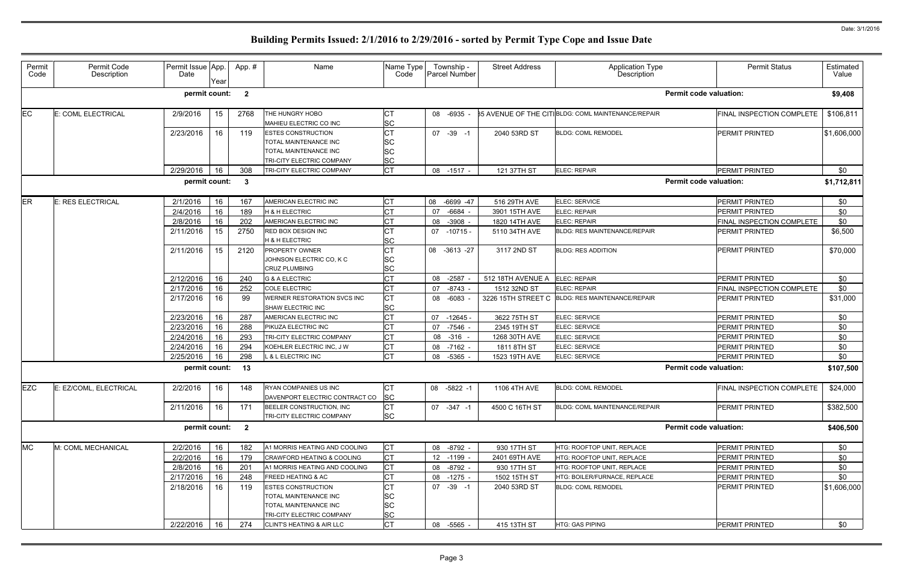| Permit<br>Code | Permit Code<br>Description | Permit Issue App.<br>Date | Year | App.#                   | Name                                                                                                     | Name Type<br>Code                                | Township -<br>Parcel Number | <b>Street Address</b> | Application Type<br>Description                    | <b>Permit Status</b>          | Estimated<br>Value |
|----------------|----------------------------|---------------------------|------|-------------------------|----------------------------------------------------------------------------------------------------------|--------------------------------------------------|-----------------------------|-----------------------|----------------------------------------------------|-------------------------------|--------------------|
|                |                            | permit count:             |      | $\overline{\mathbf{2}}$ |                                                                                                          |                                                  |                             |                       |                                                    | <b>Permit code valuation:</b> | \$9,408            |
| EC.            | E: COML ELECTRICAL         | 2/9/2016                  | 15   | 2768                    | THE HUNGRY HOBO<br>MAHIEU ELECTRIC CO INC                                                                | <b>CT</b><br><b>SC</b>                           | 08 -6935                    |                       | 35 AVENUE OF THE CITIBLDG: COML MAINTENANCE/REPAIR | FINAL INSPECTION COMPLETE     | \$106,811          |
|                |                            | 2/23/2016                 | 16   | 119                     | <b>ESTES CONSTRUCTION</b><br>TOTAL MAINTENANCE INC<br>TOTAL MAINTENANCE INC<br>TRI-CITY ELECTRIC COMPANY | <b>CT</b><br><b>SC</b><br><b>SC</b><br><b>SC</b> | 07 - 39 - 1                 | 2040 53RD ST          | <b>BLDG: COML REMODEL</b>                          | <b>PERMIT PRINTED</b>         | \$1,606,000        |
|                |                            | 2/29/2016                 | 16   | 308                     | TRI-CITY ELECTRIC COMPANY                                                                                | <b>CT</b>                                        | 08 -1517 -                  | 121 37TH ST           | ELEC: REPAIR                                       | PERMIT PRINTED                | \$0                |
|                |                            | permit count: 3           |      |                         |                                                                                                          |                                                  |                             |                       |                                                    | <b>Permit code valuation:</b> | \$1,712,811        |
| <b>ER</b>      | <b>E: RES ELECTRICAL</b>   | 2/1/2016                  | 16   | 167                     | AMERICAN ELECTRIC INC                                                                                    | <b>CT</b>                                        | 08 -6699 -47                | 516 29TH AVE          | ELEC: SERVICE                                      | <b>PERMIT PRINTED</b>         | \$0                |
|                |                            | 2/4/2016                  | 16   | 189                     | <b>H &amp; H ELECTRIC</b>                                                                                | <b>CT</b>                                        | -6684<br>07                 | 3901 15TH AVE         | <b>ELEC: REPAIR</b>                                | <b>PERMIT PRINTED</b>         | \$0                |
|                |                            | 2/8/2016                  | 16   | 202                     | AMERICAN ELECTRIC INC                                                                                    | <b>CT</b>                                        | 08<br>$-3908 -$             | 1820 14TH AVE         | <b>ELEC: REPAIR</b>                                | FINAL INSPECTION COMPLETE     | \$0                |
|                |                            | 2/11/2016                 | 15   | 2750                    | <b>RED BOX DESIGN INC</b><br><b>H &amp; H ELECTRIC</b>                                                   | <b>CT</b><br><b>SC</b>                           | 07 -10715 -                 | 5110 34TH AVE         | <b>BLDG: RES MAINTENANCE/REPAIR</b>                | PERMIT PRINTED                | \$6,500            |
|                |                            | 2/11/2016                 | 15   | 2120                    | <b>PROPERTY OWNER</b><br>JOHNSON ELECTRIC CO, K C<br><b>CRUZ PLUMBING</b>                                | <b>ICT</b><br><b>SC</b><br><b>SC</b>             | 08 -3613 -27                | 3117 2ND ST           | <b>BLDG: RES ADDITION</b>                          | <b>PERMIT PRINTED</b>         | \$70,000           |
|                |                            | 2/12/2016                 | 16   | 240                     | <b>G &amp; A ELECTRIC</b>                                                                                | lст                                              | $-2587$<br>08               | 512 18TH AVENUE A     | <b>ELEC: REPAIR</b>                                | <b>PERMIT PRINTED</b>         | \$0                |
|                |                            | 2/17/2016                 | 16   | 252                     | <b>COLE ELECTRIC</b>                                                                                     | <b>CT</b>                                        | $-8743 -$<br>07             | 1512 32ND ST          | ELEC: REPAIR                                       | FINAL INSPECTION COMPLETE     | \$0                |
|                |                            | 2/17/2016                 | 16   | 99                      | WERNER RESTORATION SVCS INC<br><b>SHAW ELECTRIC INC</b>                                                  | <b>CT</b><br><b>SC</b>                           | 08<br>-6083                 | 3226 15TH STREET C    | <b>BLDG: RES MAINTENANCE/REPAIR</b>                | <b>PERMIT PRINTED</b>         | \$31,000           |
|                |                            | 2/23/2016                 | 16   | 287                     | AMERICAN ELECTRIC INC                                                                                    | <b>CT</b>                                        | $-12645$<br>07              | 3622 75TH ST          | ELEC: SERVICE                                      | <b>PERMIT PRINTED</b>         | \$0                |
|                |                            | 2/23/2016                 | 16   | 288                     | PIKUZA ELECTRIC INC                                                                                      | <b>CT</b>                                        | 07<br>$-7546 -$             | 2345 19TH ST          | ELEC: SERVICE                                      | <b>PERMIT PRINTED</b>         | \$0                |
|                |                            | 2/24/2016                 | 16   | 293                     | TRI-CITY ELECTRIC COMPANY                                                                                | <b>CT</b>                                        | 08 -316 -                   | 1268 30TH AVE         | ELEC: SERVICE                                      | <b>PERMIT PRINTED</b>         | \$0                |
|                |                            | 2/24/2016                 | 16   | 294                     | KOEHLER ELECTRIC INC, J W                                                                                | <b>CT</b>                                        | $-7162$<br>08               | 1811 8TH ST           | ELEC: SERVICE                                      | <b>PERMIT PRINTED</b>         | \$0                |
|                |                            | 2/25/2016                 | 16   | 298                     | L & L ELECTRIC INC                                                                                       | <b>CT</b>                                        | 08 -5365 -                  | 1523 19TH AVE         | ELEC: SERVICE                                      | PERMIT PRINTED                | \$0                |
|                |                            | permit count: 13          |      |                         |                                                                                                          |                                                  |                             |                       |                                                    | <b>Permit code valuation:</b> | \$107,500          |
| EZC            | E: EZ/COML, ELECTRICAL     | 2/2/2016                  | 16   | 148                     | RYAN COMPANIES US INC<br>DAVENPORT ELECTRIC CONTRACT CO                                                  | <b>I</b> CT<br> SC                               | 08 -5822 -1                 | 1106 4TH AVE          | <b>BLDG: COML REMODEL</b>                          | FINAL INSPECTION COMPLETE     | \$24,000           |
|                |                            | 2/11/2016                 | 16   | 171                     | BEELER CONSTRUCTION, INC<br>TRI-CITY ELECTRIC COMPANY                                                    | <b>CT</b><br><b>SC</b>                           | 07 -347 -1                  | 4500 C 16TH ST        | BLDG: COML MAINTENANCE/REPAIR                      | <b>PERMIT PRINTED</b>         | \$382,500          |
|                |                            | permit count: 2           |      |                         |                                                                                                          |                                                  |                             |                       |                                                    | <b>Permit code valuation:</b> | \$406,500          |
| <b>MC</b>      | M: COML MECHANICAL         | 2/2/2016                  | 16   | 182                     | A1 MORRIS HEATING AND COOLING                                                                            | <b>CT</b>                                        | 08 -8792 -                  | 930 17TH ST           | HTG: ROOFTOP UNIT, REPLACE                         | PERMIT PRINTED                | \$0                |
|                |                            | 2/2/2016                  | 16   | 179                     | <b>CRAWFORD HEATING &amp; COOLING</b>                                                                    | <b>CT</b>                                        | 12 -1199 -                  | 2401 69TH AVE         | HTG: ROOFTOP UNIT, REPLACE                         | PERMIT PRINTED                | \$0                |
|                |                            | 2/8/2016                  | 16   | 201                     | A1 MORRIS HEATING AND COOLING                                                                            | <b>CT</b>                                        | 08 -8792 -                  | 930 17TH ST           | HTG: ROOFTOP UNIT, REPLACE                         | PERMIT PRINTED                | \$0                |
|                |                            | 2/17/2016                 | 16   | 248                     | FREED HEATING & AC                                                                                       | <b>CT</b>                                        | 08 -1275 -                  | 1502 15TH ST          | HTG: BOILER/FURNACE, REPLACE                       | PERMIT PRINTED                | \$0                |
|                |                            | 2/18/2016                 | 16   | 119                     | <b>ESTES CONSTRUCTION</b><br>TOTAL MAINTENANCE INC<br>TOTAL MAINTENANCE INC<br>TRI-CITY ELECTRIC COMPANY | <b>CT</b><br><b>SC</b><br><b>SC</b><br><b>SC</b> | $07 - 39 - 1$               | 2040 53RD ST          | <b>BLDG: COML REMODEL</b>                          | <b>PERMIT PRINTED</b>         | \$1,606,000        |
|                |                            | 2/22/2016                 | 16   | 274                     | <b>CLINT'S HEATING &amp; AIR LLC</b>                                                                     | <b>CT</b>                                        | 08<br>-5565 -               | 415 13TH ST           | <b>HTG: GAS PIPING</b>                             | PERMIT PRINTED                | \$0                |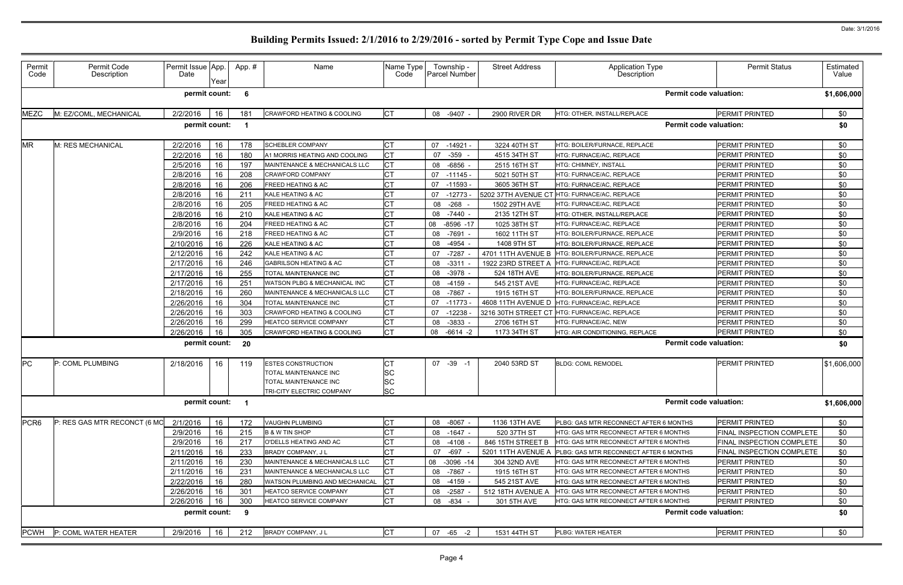| Permit<br>Code   | Permit Code<br>Description   | Permit Issue App.<br>Date | Year | App.# | Name                                  | Name Type<br>Code | Township -<br>Parcel Number | <b>Street Address</b> | Application Type<br>Description              | <b>Permit Status</b>      | Estimated<br>Value |
|------------------|------------------------------|---------------------------|------|-------|---------------------------------------|-------------------|-----------------------------|-----------------------|----------------------------------------------|---------------------------|--------------------|
|                  |                              | permit count:             |      | - 6   |                                       |                   |                             |                       | <b>Permit code valuation:</b>                |                           | \$1,606,000        |
| <b>MEZC</b>      | M: EZ/COML, MECHANICAL       | 2/2/2016                  | 16   | 181   | <b>CRAWFORD HEATING &amp; COOLING</b> | <b>CT</b>         | 08<br>$-9407 -$             | 2900 RIVER DR         | HTG: OTHER, INSTALL/REPLACE                  | <b>PERMIT PRINTED</b>     | \$0                |
|                  |                              | permit count:             |      |       |                                       |                   |                             |                       | <b>Permit code valuation:</b>                |                           | \$0                |
| <b>MR</b>        | M: RES MECHANICAL            | 2/2/2016                  | 16   | 178   | <b>SCHEBLER COMPANY</b>               | <b>CT</b>         | 07 -14921 -                 | 3224 40TH ST          | HTG: BOILER/FURNACE, REPLACE                 | <b>PERMIT PRINTED</b>     | \$0                |
|                  |                              | 2/2/2016                  | 16   | 180   | A1 MORRIS HEATING AND COOLING         | <b>CT</b>         | 07<br>$-359$                | 4515 34TH ST          | HTG: FURNACE/AC, REPLACE                     | <b>PERMIT PRINTED</b>     | \$0                |
|                  |                              | 2/5/2016                  | 16   | 197   | MAINTENANCE & MECHANICALS LLC         | <b>CT</b>         | $-6856$<br>08               | 2515 16TH ST          | <b>HTG: CHIMNEY, INSTALL</b>                 | PERMIT PRINTED            | \$0                |
|                  |                              | 2/8/2016                  | 16   | 208   | <b>CRAWFORD COMPANY</b>               | <b>CT</b>         | 07 -11145 -                 | 5021 50TH ST          | HTG: FURNACE/AC, REPLACE                     | <b>PERMIT PRINTED</b>     | \$0                |
|                  |                              | 2/8/2016                  | 16   | 206   | FREED HEATING & AC                    | <b>CT</b>         | $-11593$<br>07              | 3605 36TH ST          | HTG: FURNACE/AC, REPLACE                     | PERMIT PRINTED            | \$0                |
|                  |                              | 2/8/2016                  | 16   | 211   | KALE HEATING & AC                     | <b>CT</b>         | 07<br>-12773 -              |                       | 5202 37TH AVENUE CT HTG: FURNACE/AC, REPLACE | PERMIT PRINTED            | \$0                |
|                  |                              | 2/8/2016                  | 16   | 205   | <b>FREED HEATING &amp; AC</b>         | <b>CT</b>         | $-268$<br>08                | 1502 29TH AVE         | HTG: FURNACE/AC, REPLACE                     | PERMIT PRINTED            | \$0                |
|                  |                              | 2/8/2016                  | 16   | 210   | KALE HEATING & AC                     | <b>CT</b>         | 08 -7440 -                  | 2135 12TH ST          | HTG: OTHER, INSTALL/REPLACE                  | PERMIT PRINTED            | \$0                |
|                  |                              | 2/8/2016                  | 16   | 204   | <b>FREED HEATING &amp; AC</b>         | <b>CT</b>         | 08<br>$-8596 - 17$          | 1025 38TH ST          | HTG: FURNACE/AC, REPLACE                     | PERMIT PRINTED            | \$0                |
|                  |                              | 2/9/2016                  | 16   | 218   | FREED HEATING & AC                    | <b>CT</b>         | 08<br>-7691 -               | 1602 11TH ST          | HTG: BOILER/FURNACE, REPLACE                 | <b>PERMIT PRINTED</b>     | \$0                |
|                  |                              | 2/10/2016                 | 16   | 226   | KALE HEATING & AC                     | <b>CT</b>         | -4954<br>08                 | 1408 9TH ST           | HTG: BOILER/FURNACE, REPLACE                 | <b>PERMIT PRINTED</b>     | \$0                |
|                  |                              | 2/12/2016                 | 16   | 242   | KALE HEATING & AC                     | <b>CT</b>         | -7287<br>07                 | 4701 11TH AVENUE B    | <b>HTG: BOILER/FURNACE, REPLACE</b>          | <b>PERMIT PRINTED</b>     | \$0                |
|                  |                              | 2/17/2016                 | 16   | 246   | <b>GABRILSON HEATING &amp; AC</b>     | <b>CT</b>         | 08 -3311                    | 1922 23RD STREET A    | <b>HTG: FURNACE/AC. REPLACE</b>              | <b>PERMIT PRINTED</b>     | \$0                |
|                  |                              | 2/17/2016                 | 16   | 255   | TOTAL MAINTENANCE INC                 | <b>CT</b>         | 08<br>$-3978$               | 524 18TH AVE          | HTG: BOILER/FURNACE, REPLACE                 | PERMIT PRINTED            | \$0                |
|                  |                              | 2/17/2016                 | 16   | 251   | WATSON PLBG & MECHANICAL INC          | <b>CT</b>         | 08<br>-4159 -               | 545 21ST AVE          | HTG: FURNACE/AC, REPLACE                     | PERMIT PRINTED            | \$0                |
|                  |                              | 2/18/2016                 | 16   | 260   | MAINTENANCE & MECHANICALS LLC         | <b>CT</b>         | -7867<br>08                 | 1915 16TH ST          | HTG: BOILER/FURNACE, REPLACE                 | PERMIT PRINTED            | \$0                |
|                  |                              | 2/26/2016                 | 16   | 304   | TOTAL MAINTENANCE INC                 | <b>CT</b>         | 07<br>-11773 -              |                       | 4608 11TH AVENUE D HTG: FURNACE/AC, REPLACE  | PERMIT PRINTED            | \$0                |
|                  |                              | 2/26/2016                 | 16   | 303   | <b>CRAWFORD HEATING &amp; COOLING</b> | <b>CT</b>         | $-12238$<br>07              | 3216 30TH STREET CT   | HTG: FURNACE/AC, REPLACE                     | PERMIT PRINTED            | \$0                |
|                  |                              | 2/26/2016                 | 16   | 299   | HEATCO SERVICE COMPANY                | <b>CT</b>         |                             |                       | HTG: FURNACE/AC, NEW                         | <b>PERMIT PRINTED</b>     |                    |
|                  |                              |                           |      |       | <b>CRAWFORD HEATING &amp; COOLING</b> | <b>CT</b>         | 08<br>-3833<br>08           | 2706 16TH ST          | HTG: AIR CONDITIONING, REPLACE               | PERMIT PRINTED            | \$0                |
|                  |                              | 2/26/2016                 | 16   | 305   |                                       |                   | -6614 -2                    | 1173 34TH ST          |                                              |                           | \$0                |
|                  |                              | permit count:             |      | - 20  |                                       |                   |                             |                       | <b>Permit code valuation:</b>                |                           | \$0                |
| <b>PC</b>        | P: COML PLUMBING             | 2/18/2016                 | 16   | 119   | <b>ESTES CONSTRUCTION</b>             | <b>CT</b>         | 07 - 39 - 1                 | 2040 53RD ST          | <b>BLDG: COML REMODEL</b>                    | <b>PERMIT PRINTED</b>     | \$1,606,000        |
|                  |                              |                           |      |       | TOTAL MAINTENANCE INC                 | SC                |                             |                       |                                              |                           |                    |
|                  |                              |                           |      |       | TOTAL MAINTENANCE INC                 | <b>SC</b>         |                             |                       |                                              |                           |                    |
|                  |                              |                           |      |       | TRI-CITY ELECTRIC COMPANY             | SC.               |                             |                       |                                              |                           |                    |
|                  |                              | permit count: 1           |      |       |                                       |                   |                             |                       | <b>Permit code valuation:</b>                |                           | \$1,606,000        |
| PCR <sub>6</sub> | P: RES GAS MTR RECONCT (6 MC | 2/1/2016                  | 16   | 172   | VAUGHN PLUMBING                       | <b>CT</b>         | 08 -8067 -                  | 1136 13TH AVE         | PLBG: GAS MTR RECONNECT AFTER 6 MONTHS       | PERMIT PRINTED            | \$0                |
|                  |                              | 2/9/2016                  | 16   | 215   | <b>B &amp; W TIN SHOP</b>             | <b>CT</b>         | 08<br>-1647 -               | 520 37TH ST           | HTG: GAS MTR RECONNECT AFTER 6 MONTHS        | FINAL INSPECTION COMPLETE | \$0                |
|                  |                              | 2/9/2016                  | 16   | 217   | O'DELLS HEATING AND AC                | <b>CT</b>         | 08 -4108 -                  | 846 15TH STREET B     | HTG: GAS MTR RECONNECT AFTER 6 MONTHS        | FINAL INSPECTION COMPLETE | \$0                |
|                  |                              | 2/11/2016                 | 16   | 233   | BRADY COMPANY, J L                    | <b>CT</b>         | 07<br>-697                  | 5201 11TH AVENUE A    | PLBG: GAS MTR RECONNECT AFTER 6 MONTHS       | FINAL INSPECTION COMPLETE | \$0                |
|                  |                              | 2/11/2016                 | 16   | 230   | MAINTENANCE & MECHANICALS LLC         | <b>CT</b>         | 08<br>$-3096 - 14$          | 304 32ND AVE          | HTG: GAS MTR RECONNECT AFTER 6 MONTHS        | PERMIT PRINTED            | \$0                |
|                  |                              | 2/11/2016                 | 16   | 231   | MAINTENANCE & MECHANICALS LLC         | <b>CT</b>         | 08 -7867 -                  | 1915 16TH ST          | HTG: GAS MTR RECONNECT AFTER 6 MONTHS        | <b>PERMIT PRINTED</b>     | \$0                |
|                  |                              | 2/22/2016                 | 16   | 280   | WATSON PLUMBING AND MECHANICAL        | <b>CT</b>         | 08 -4159 -                  | 545 21ST AVE          | HTG: GAS MTR RECONNECT AFTER 6 MONTHS        | <b>PERMIT PRINTED</b>     | \$0                |
|                  |                              | 2/26/2016                 | 16   | 301   | HEATCO SERVICE COMPANY                | <b>CT</b>         | 08 -2587 -                  | 512 18TH AVENUE A     | HTG: GAS MTR RECONNECT AFTER 6 MONTHS        | PERMIT PRINTED            | \$0                |
|                  |                              | 2/26/2016                 | 16   | 300   | HEATCO SERVICE COMPANY                | <b>CT</b>         | 08 -834                     | 301 5TH AVE           | HTG: GAS MTR RECONNECT AFTER 6 MONTHS        | PERMIT PRINTED            | \$0                |
|                  |                              |                           |      |       |                                       |                   |                             |                       |                                              |                           |                    |
|                  |                              | permit count:             |      | - 9   |                                       |                   |                             |                       | <b>Permit code valuation:</b>                |                           | \$0                |
| <b>PCWH</b>      | P: COML WATER HEATER         | 2/9/2016                  | 16   | 212   | BRADY COMPANY, J L                    | <b>CT</b>         | 07 -65 -2                   | 1531 44TH ST          | <b>PLBG: WATER HEATER</b>                    | PERMIT PRINTED            | \$0                |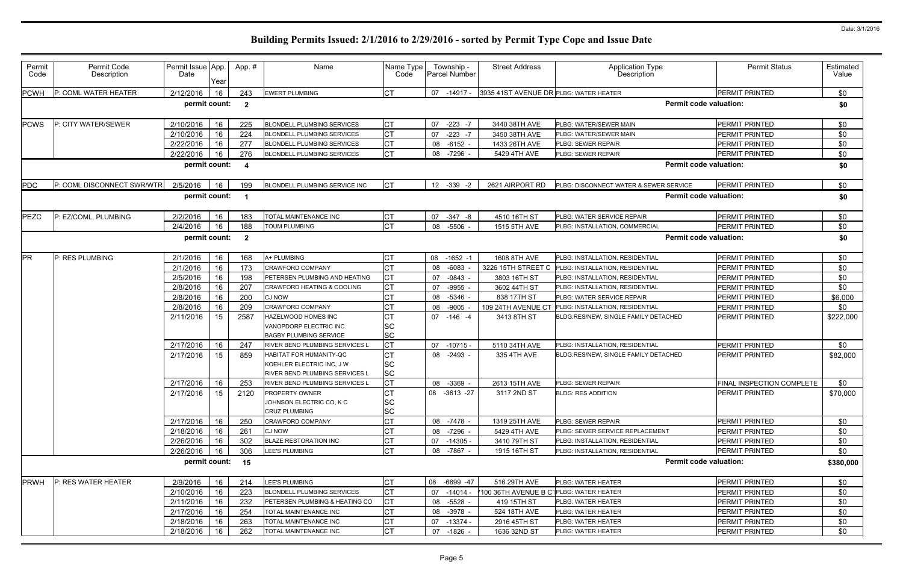| Permit<br>Code                                                            | Permit Code<br>Description | Permit Issue App.<br>Date | Year | App.#                   | Name                                                                                                 | Name Type<br>Code                   | Township -<br><b>Parcel Number</b> | <b>Street Address</b>                  | Application Type<br>Description             | <b>Permit Status</b>             | Estimated<br>Value |  |
|---------------------------------------------------------------------------|----------------------------|---------------------------|------|-------------------------|------------------------------------------------------------------------------------------------------|-------------------------------------|------------------------------------|----------------------------------------|---------------------------------------------|----------------------------------|--------------------|--|
| <b>PCWH</b>                                                               | P: COML WATER HEATER       | 2/12/2016                 | 16   | 243                     | <b>EWERT PLUMBING</b>                                                                                | <b>I</b> CT                         | -14917 -<br>07                     | 3935 41ST AVENUE DR PLBG: WATER HEATER |                                             | <b>PERMIT PRINTED</b>            | \$0                |  |
| permit count:<br><b>Permit code valuation:</b><br>$\overline{\mathbf{2}}$ |                            |                           |      |                         |                                                                                                      |                                     |                                    |                                        |                                             |                                  |                    |  |
| <b>PCWS</b>                                                               | P: CITY WATER/SEWER        | 2/10/2016                 | 16   | 225                     | <b>BLONDELL PLUMBING SERVICES</b>                                                                    | <b>CT</b>                           | $-223 - 7$<br>07                   | 3440 38TH AVE                          | PLBG: WATER/SEWER MAIN                      | <b>PERMIT PRINTED</b>            | \$0                |  |
|                                                                           |                            | 2/10/2016                 | 16   | 224                     | <b>BLONDELL PLUMBING SERVICES</b>                                                                    | <b>CT</b>                           | $-223 - 7$<br>07                   | 3450 38TH AVE                          | PLBG: WATER/SEWER MAIN                      | PERMIT PRINTED                   | \$0                |  |
|                                                                           |                            | 2/22/2016                 | 16   | 277                     | <b>BLONDELL PLUMBING SERVICES</b>                                                                    | <b>CT</b>                           | 08 -6152 -                         | 1433 26TH AVE                          | PLBG: SEWER REPAIR                          | <b>PERMIT PRINTED</b>            | \$0                |  |
|                                                                           |                            | 2/22/2016                 | 16   | 276                     | <b>BLONDELL PLUMBING SERVICES</b>                                                                    | <b>CT</b>                           | 08<br>$-7296 -$                    | 5429 4TH AVE                           | PLBG: SEWER REPAIR                          | PERMIT PRINTED                   | \$0                |  |
| <b>Permit code valuation:</b><br>permit count:<br>-4                      |                            |                           |      |                         |                                                                                                      |                                     |                                    |                                        |                                             |                                  |                    |  |
| PDC                                                                       | P: COML DISCONNECT SWR/WTR | 2/5/2016                  | 16   | 199                     | BLONDELL PLUMBING SERVICE INC                                                                        | <b>CT</b>                           | 12 -339 -2                         | 2621 AIRPORT RD                        | PLBG: DISCONNECT WATER & SEWER SERVICE      | <b>PERMIT PRINTED</b>            | \$0                |  |
|                                                                           |                            | permit count:             |      |                         |                                                                                                      |                                     |                                    |                                        | <b>Permit code valuation:</b>               |                                  | \$0                |  |
| <b>PEZC</b>                                                               | P: EZ/COML, PLUMBING       | 2/2/2016                  | 16   | 183                     | TOTAL MAINTENANCE INC                                                                                | <b>CT</b>                           | 07<br>$-347 - 8$                   | 4510 16TH ST                           | PLBG: WATER SERVICE REPAIR                  | <b>PERMIT PRINTED</b>            | \$0                |  |
|                                                                           |                            | 2/4/2016                  | 16   | 188                     | <b>TOUM PLUMBING</b>                                                                                 | <b>CT</b>                           | 08<br>$-5506$                      | 1515 5TH AVE                           | PLBG: INSTALLATION, COMMERCIAL              | PERMIT PRINTED                   | \$0                |  |
|                                                                           |                            | permit count:             |      | $\overline{\mathbf{2}}$ |                                                                                                      |                                     |                                    |                                        | <b>Permit code valuation:</b>               |                                  | \$0                |  |
| <b>PR</b>                                                                 | P: RES PLUMBING            | 2/1/2016                  | 16   | 168                     | A+ PLUMBING                                                                                          | <b>CT</b>                           | $-1652 -1$<br>08                   | 1608 8TH AVE                           | PLBG: INSTALLATION, RESIDENTIAL             | <b>PERMIT PRINTED</b>            | \$0                |  |
|                                                                           |                            | 2/1/2016                  | 16   | 173                     | <b>CRAWFORD COMPANY</b>                                                                              | <b>CT</b>                           | 08<br>$-6083$                      | 3226 15TH STREET C                     | PLBG: INSTALLATION, RESIDENTIAL             | PERMIT PRINTED                   | \$0                |  |
|                                                                           |                            | 2/5/2016                  | 16   | 198                     | PETERSEN PLUMBING AND HEATING                                                                        | <b>CT</b>                           | 07<br>-9843                        | 3803 16TH ST                           | PLBG: INSTALLATION, RESIDENTIAL             | PERMIT PRINTED                   | \$0                |  |
|                                                                           |                            | 2/8/2016                  | 16   | 207                     | <b>CRAWFORD HEATING &amp; COOLING</b>                                                                | <b>ICT</b>                          | 07<br>-9955                        | 3602 44TH ST                           | PLBG: INSTALLATION, RESIDENTIAL             | PERMIT PRINTED                   | \$0                |  |
|                                                                           |                            | 2/8/2016                  | 16   | 200                     | <b>CJ NOW</b>                                                                                        | <b>CT</b>                           | 08<br>-5346                        | 838 17TH ST                            | <b>PLBG: WATER SERVICE REPAIR</b>           | <b>PERMIT PRINTED</b>            | \$6,000            |  |
|                                                                           |                            | 2/8/2016                  | 16   | 209                     | <b>CRAWFORD COMPANY</b>                                                                              | <b>CT</b>                           | 08<br>$-9005$                      | 109 24TH AVENUE CT                     | PLBG: INSTALLATION, RESIDENTIAL             | PERMIT PRINTED                   | \$0                |  |
|                                                                           |                            | 2/11/2016                 | 15   | 2587                    | HAZELWOOD HOMES INC<br>VANOPDORP ELECTRIC INC.<br><b>BAGBY PLUMBING SERVICE</b>                      | <b>CT</b><br><b>SC</b><br><b>SC</b> | 07 -146 -4                         | 3413 8TH ST                            | BLDG:RES/NEW, SINGLE FAMILY DETACHED        | <b>PERMIT PRINTED</b>            | \$222,000          |  |
|                                                                           |                            | 2/17/2016                 | 16   | 247                     | <b>RIVER BEND PLUMBING SERVICES L</b>                                                                | <b>CT</b>                           | 07<br>-10715 -                     | 5110 34TH AVE                          | PLBG: INSTALLATION, RESIDENTIAL             | <b>PERMIT PRINTED</b>            | \$0                |  |
|                                                                           |                            | 2/17/2016                 | 15   | 859                     | <b>HABITAT FOR HUMANITY-QC</b><br>KOEHLER ELECTRIC INC, J W<br><b>RIVER BEND PLUMBING SERVICES L</b> | <b>CT</b><br><b>SC</b><br><b>SC</b> | 08 -2493 -                         | 335 4TH AVE                            | <b>BLDG:RES/NEW, SINGLE FAMILY DETACHED</b> | <b>PERMIT PRINTED</b>            | \$82,000           |  |
|                                                                           |                            | 2/17/2016                 | 16   | 253                     | RIVER BEND PLUMBING SERVICES L                                                                       | <b>CT</b>                           | 08 -3369 -                         | 2613 15TH AVE                          | PLBG: SEWER REPAIR                          | <b>FINAL INSPECTION COMPLETE</b> | \$0                |  |
|                                                                           |                            | 2/17/2016                 | 15   | 2120                    | PROPERTY OWNER<br>JOHNSON ELECTRIC CO, K C<br><b>CRUZ PLUMBING</b>                                   | IСТ<br><b>SC</b><br><b>SC</b>       | 08 -3613 -27                       | 3117 2ND ST                            | <b>BLDG: RES ADDITION</b>                   | <b>PERMIT PRINTED</b>            | \$70,000           |  |
|                                                                           |                            | 2/17/2016                 | 16   | 250                     | <b>CRAWFORD COMPANY</b>                                                                              | <b>CT</b>                           | 08 -7478 -                         | 1319 25TH AVE                          | PLBG: SEWER REPAIR                          | <b>PERMIT PRINTED</b>            | \$0                |  |
|                                                                           |                            | 2/18/2016                 | 16   | 261                     | <b>CJ NOW</b>                                                                                        | <b>CT</b>                           | 08 -7296 -                         | 5429 4TH AVE                           | PLBG: SEWER SERVICE REPLACEMENT             | PERMIT PRINTED                   | \$0                |  |
|                                                                           |                            | 2/26/2016                 | 16   | 302                     | <b>BLAZE RESTORATION INC</b>                                                                         | <b>CT</b>                           | $07 - 14305$                       | 3410 79TH ST                           | PLBG: INSTALLATION, RESIDENTIAL             | <b>PERMIT PRINTED</b>            | \$0                |  |
|                                                                           |                            | 2/26/2016                 | 16   | 306                     | LEE'S PLUMBING                                                                                       | <b>CT</b>                           | 08<br>-7867 -                      | 1915 16TH ST                           | PLBG: INSTALLATION, RESIDENTIAL             | <b>PERMIT PRINTED</b>            | \$0                |  |
|                                                                           |                            | permit count: 15          |      |                         |                                                                                                      |                                     |                                    |                                        | <b>Permit code valuation:</b>               |                                  | \$380,000          |  |
| <b>PRWH</b>                                                               | P: RES WATER HEATER        | 2/9/2016                  | 16   | 214                     | LEE'S PLUMBING                                                                                       | <b>CT</b>                           | 08 -6699 -47                       | 516 29TH AVE                           | <b>PLBG: WATER HEATER</b>                   | <b>PERMIT PRINTED</b>            | \$0                |  |
|                                                                           |                            | 2/10/2016                 | 16   | 223                     | <b>BLONDELL PLUMBING SERVICES</b>                                                                    | <b>CT</b>                           | $-14014 -$<br>07                   | 100 36TH AVENUE B CTPLBG: WATER HEATER |                                             | <b>PERMIT PRINTED</b>            | \$0                |  |
|                                                                           |                            | 2/11/2016                 | 16   | 232                     | PETERSEN PLUMBING & HEATING CO                                                                       | <b>CT</b>                           | -5528 -<br>08                      | 419 15TH ST                            | PLBG: WATER HEATER                          | <b>PERMIT PRINTED</b>            | \$0                |  |
|                                                                           |                            | 2/17/2016                 | 16   | 254                     | TOTAL MAINTENANCE INC                                                                                | <b>CT</b>                           | 08 -3978 -                         | 524 18TH AVE                           | PLBG: WATER HEATER                          | PERMIT PRINTED                   | \$0                |  |
|                                                                           |                            | 2/18/2016                 | 16   | 263                     | TOTAL MAINTENANCE INC                                                                                | <b>CT</b>                           | 07 -13374 -                        | 2916 45TH ST                           | PLBG: WATER HEATER                          | <b>PERMIT PRINTED</b>            | \$0                |  |
|                                                                           |                            | 2/18/2016                 | 16   | 262                     | TOTAL MAINTENANCE INC                                                                                | <b>CT</b>                           | 07 -1826 -                         | 1636 32ND ST                           | PLBG: WATER HEATER                          | PERMIT PRINTED                   | \$0                |  |